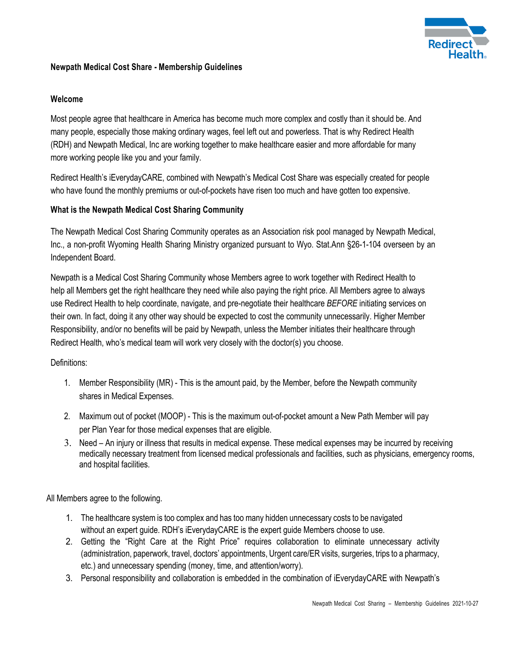

## **Newpath Medical Cost Share - Membership Guidelines**

## **Welcome**

Most people agree that healthcare in America has become much more complex and costly than it should be. And many people, especially those making ordinary wages, feel left out and powerless. That is why Redirect Health (RDH) and Newpath Medical, Inc are working together to make healthcare easier and more affordable for many more working people like you and your family.

Redirect Health's iEverydayCARE, combined with Newpath's Medical Cost Share was especially created for people who have found the monthly premiums or out-of-pockets have risen too much and have gotten too expensive.

# **What is the Newpath Medical Cost Sharing Community**

The Newpath Medical Cost Sharing Community operates as an Association risk pool managed by Newpath Medical, Inc., a non-profit Wyoming Health Sharing Ministry organized pursuant to Wyo. Stat.Ann §26-1-104 overseen by an Independent Board.

Newpath is a Medical Cost Sharing Community whose Members agree to work together with Redirect Health to help all Members get the right healthcare they need while also paying the right price. All Members agree to always use Redirect Health to help coordinate, navigate, and pre-negotiate their healthcare *BEFORE* initiating services on their own. In fact, doing it any other way should be expected to cost the community unnecessarily. Higher Member Responsibility, and/or no benefits will be paid by Newpath, unless the Member initiates their healthcare through Redirect Health, who's medical team will work very closely with the doctor(s) you choose.

## Definitions:

- 1. Member Responsibility (MR) This is the amount paid, by the Member, before the Newpath community shares in Medical Expenses.
- 2. Maximum out of pocket (MOOP) This is the maximum out-of-pocket amount a New Path Member will pay per Plan Year for those medical expenses that are eligible.
- 3. Need An injury or illness that results in medical expense. These medical expenses may be incurred by receiving medically necessary treatment from licensed medical professionals and facilities, such as physicians, emergency rooms, and hospital facilities.

All Members agree to the following.

- 1. The healthcare system is too complex and has too many hidden unnecessary costs to be navigated without an expert guide. RDH's iEverydayCARE is the expert guide Members choose to use.
- 2. Getting the "Right Care at the Right Price" requires collaboration to eliminate unnecessary activity (administration, paperwork, travel, doctors' appointments, Urgent care/ER visits, surgeries, trips to a pharmacy, etc.) and unnecessary spending (money, time, and attention/worry).
- 3. Personal responsibility and collaboration is embedded in the combination of iEverydayCARE with Newpath's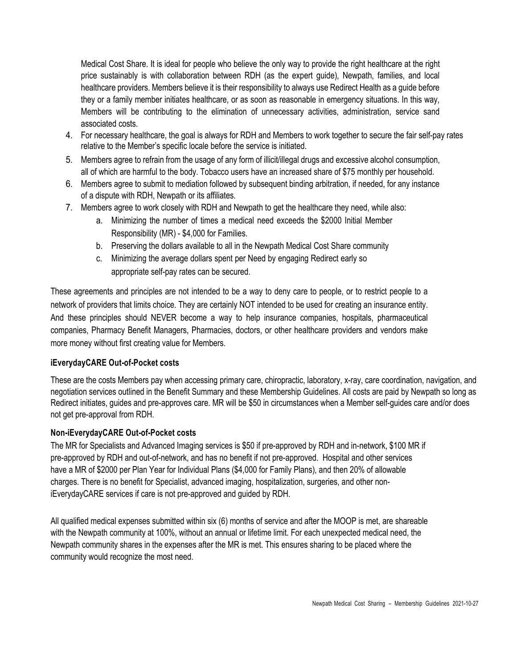Medical Cost Share. It is ideal for people who believe the only way to provide the right healthcare at the right price sustainably is with collaboration between RDH (as the expert guide), Newpath, families, and local healthcare providers. Members believe it is their responsibility to always use Redirect Health as a guide before they or a family member initiates healthcare, or as soon as reasonable in emergency situations. In this way, Members will be contributing to the elimination of unnecessary activities, administration, service sand associated costs.

- 4. For necessary healthcare, the goal is always for RDH and Members to work together to secure the fair self-pay rates relative to the Member's specific locale before the service is initiated.
- 5. Members agree to refrain from the usage of any form of illicit/illegal drugs and excessive alcohol consumption, all of which are harmful to the body. Tobacco users have an increased share of \$75 monthly per household.
- 6. Members agree to submit to mediation followed by subsequent binding arbitration, if needed, for any instance of a dispute with RDH, Newpath or its affiliates.
- 7. Members agree to work closely with RDH and Newpath to get the healthcare they need, while also:
	- a. Minimizing the number of times a medical need exceeds the \$2000 Initial Member Responsibility (MR) - \$4,000 for Families.
	- b. Preserving the dollars available to all in the Newpath Medical Cost Share community
	- c. Minimizing the average dollars spent per Need by engaging Redirect early so appropriate self-pay rates can be secured.

These agreements and principles are not intended to be a way to deny care to people, or to restrict people to a network of providers that limits choice. They are certainly NOT intended to be used for creating an insurance entity. And these principles should NEVER become a way to help insurance companies, hospitals, pharmaceutical companies, Pharmacy Benefit Managers, Pharmacies, doctors, or other healthcare providers and vendors make more money without first creating value for Members.

## **iEverydayCARE Out-of-Pocket costs**

These are the costs Members pay when accessing primary care, chiropractic, laboratory, x-ray, care coordination, navigation, and negotiation services outlined in the Benefit Summary and these Membership Guidelines. All costs are paid by Newpath so long as Redirect initiates, guides and pre-approves care. MR will be \$50 in circumstances when a Member self-guides care and/or does not get pre-approval from RDH.

## **Non-iEverydayCARE Out-of-Pocket costs**

The MR for Specialists and Advanced Imaging services is \$50 if pre-approved by RDH and in-network, \$100 MR if pre-approved by RDH and out-of-network, and has no benefit if not pre-approved. Hospital and other services have a MR of \$2000 per Plan Year for Individual Plans (\$4,000 for Family Plans), and then 20% of allowable charges. There is no benefit for Specialist, advanced imaging, hospitalization, surgeries, and other noniEverydayCARE services if care is not pre-approved and guided by RDH.

All qualified medical expenses submitted within six (6) months of service and after the MOOP is met, are shareable with the Newpath community at 100%, without an annual or lifetime limit. For each unexpected medical need, the Newpath community shares in the expenses after the MR is met. This ensures sharing to be placed where the community would recognize the most need.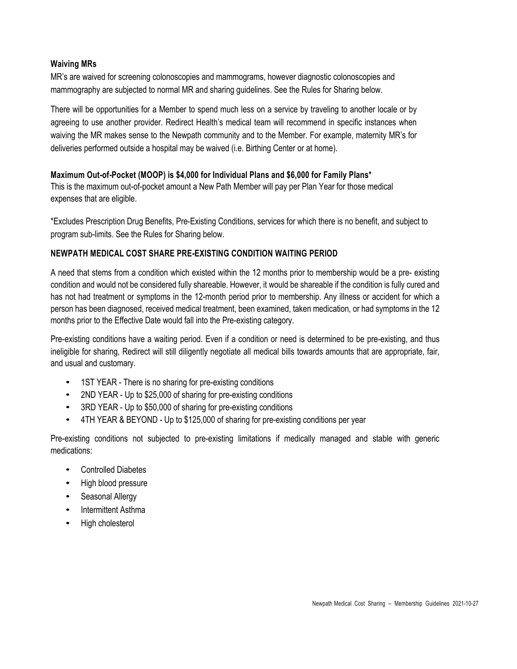### **Waiving MRs**

MR's are waived for screening colonoscopies and mammograms, however diagnostic colonoscopies and mammography are subjected to normal MR and sharing guidelines. See the Rules for Sharing below.

There will be opportunities for a Member to spend much less on a service by traveling to another locale or by agreeing to use another provider. Redirect Health's medical team will recommend in specific instances when waiving the MR makes sense to the Newpath community and to the Member. For example, maternity MR's for deliveries performed outside a hospital may be waived (i.e. Birthing Center or at home).

### **Maximum Out-of-Pocket (MOOP) is \$4,000 for Individual Plans and \$6,000 for Family Plans\***

This is the maximum out-of-pocket amount a New Path Member will pay per Plan Year for those medical expenses that are eligible.

\*Excludes Prescription Drug Benefits, Pre-Existing Conditions, services for which there is no benefit, and subject to program sub-limits. See the Rules for Sharing below.

### **NEWPATH MEDICAL COST SHARE PRE-EXISTING CONDITION WAITING PERIOD**

A need that stems from a condition which existed within the 12 months prior to membership would be a pre- existing condition and would not be considered fully shareable. However, it would be shareable if the condition is fully cured and has not had treatment or symptoms in the 12-month period prior to membership. Any illness or accident for which a person has been diagnosed, received medical treatment, been examined, taken medication, or had symptoms in the 12 months prior to the Effective Date would fall into the Pre-existing category.

Pre-existing conditions have a waiting period. Even if a condition or need is determined to be pre-existing, and thus ineligible for sharing, Redirect will still diligently negotiate all medical bills towards amounts that are appropriate, fair, and usual and customary.

- 1ST YEAR There is no sharing for pre-existing conditions
- 2ND YEAR Up to \$25,000 of sharing for pre-existing conditions
- 3RD YEAR Up to \$50,000 of sharing for pre-existing conditions
- 4TH YEAR & BEYOND Up to \$125,000 of sharing for pre-existing conditions per year

Pre-existing conditions not subjected to pre-existing limitations if medically managed and stable with generic medications:

- Controlled Diabetes
- High blood pressure
- Seasonal Allergy
- Intermittent Asthma
- High cholesterol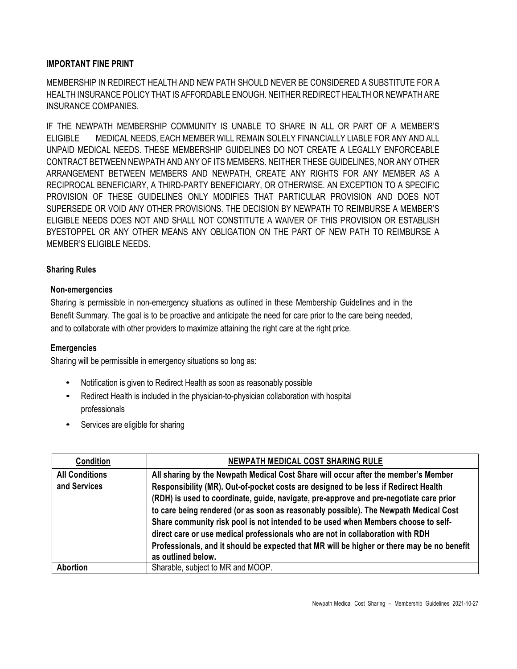### **IMPORTANT FINE PRINT**

MEMBERSHIP IN REDIRECT HEALTH AND NEW PATH SHOULD NEVER BE CONSIDERED A SUBSTITUTE FOR A HEALTH INSURANCE POLICY THAT IS AFFORDABLE ENOUGH. NEITHER REDIRECT HEALTH OR NEWPATH ARE INSURANCE COMPANIES.

IF THE NEWPATH MEMBERSHIP COMMUNITY IS UNABLE TO SHARE IN ALL OR PART OF A MEMBER'S ELIGIBLE MEDICAL NEEDS, EACH MEMBER WILL REMAIN SOLELY FINANCIALLY LIABLE FOR ANY AND ALL UNPAID MEDICAL NEEDS. THESE MEMBERSHIP GUIDELINES DO NOT CREATE A LEGALLY ENFORCEABLE CONTRACT BETWEEN NEWPATH AND ANY OF ITS MEMBERS. NEITHER THESE GUIDELINES, NOR ANY OTHER ARRANGEMENT BETWEEN MEMBERS AND NEWPATH, CREATE ANY RIGHTS FOR ANY MEMBER AS A RECIPROCAL BENEFICIARY, A THIRD-PARTY BENEFICIARY, OR OTHERWISE. AN EXCEPTION TO A SPECIFIC PROVISION OF THESE GUIDELINES ONLY MODIFIES THAT PARTICULAR PROVISION AND DOES NOT SUPERSEDE OR VOID ANY OTHER PROVISIONS. THE DECISION BY NEWPATH TO REIMBURSE A MEMBER'S ELIGIBLE NEEDS DOES NOT AND SHALL NOT CONSTITUTE A WAIVER OF THIS PROVISION OR ESTABLISH BYESTOPPEL OR ANY OTHER MEANS ANY OBLIGATION ON THE PART OF NEW PATH TO REIMBURSE A MEMBER'S ELIGIBLE NEEDS.

### **Sharing Rules**

### **Non-emergencies**

Sharing is permissible in non-emergency situations as outlined in these Membership Guidelines and in the Benefit Summary. The goal is to be proactive and anticipate the need for care prior to the care being needed, and to collaborate with other providers to maximize attaining the right care at the right price.

#### **Emergencies**

Sharing will be permissible in emergency situations so long as:

- Notification is given to Redirect Health as soon as reasonably possible
- Redirect Health is included in the physician-to-physician collaboration with hospital professionals
- Services are eligible for sharing

| <b>Condition</b>      | <b>NEWPATH MEDICAL COST SHARING RULE</b>                                                   |
|-----------------------|--------------------------------------------------------------------------------------------|
| <b>All Conditions</b> | All sharing by the Newpath Medical Cost Share will occur after the member's Member         |
| and Services          | Responsibility (MR). Out-of-pocket costs are designed to be less if Redirect Health        |
|                       | (RDH) is used to coordinate, guide, navigate, pre-approve and pre-negotiate care prior     |
|                       | to care being rendered (or as soon as reasonably possible). The Newpath Medical Cost       |
|                       | Share community risk pool is not intended to be used when Members choose to self-          |
|                       | direct care or use medical professionals who are not in collaboration with RDH             |
|                       | Professionals, and it should be expected that MR will be higher or there may be no benefit |
|                       | as outlined below.                                                                         |
| <b>Abortion</b>       | Sharable, subject to MR and MOOP.                                                          |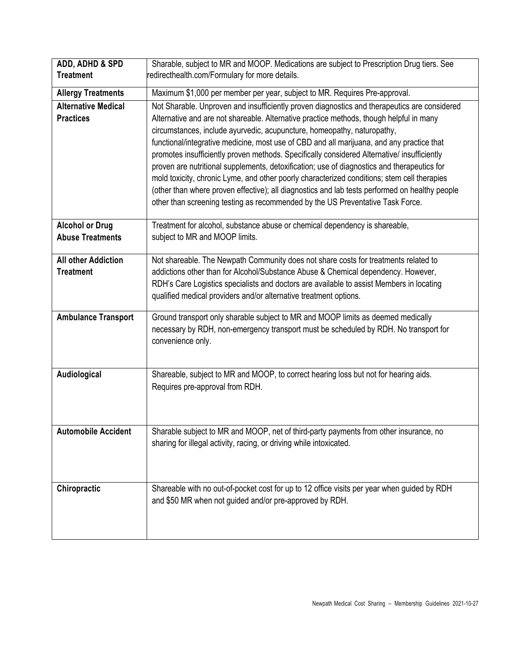| ADD, ADHD & SPD<br><b>Treatment</b>               | Sharable, subject to MR and MOOP. Medications are subject to Prescription Drug tiers. See<br>redirecthealth.com/Formulary for more details.                                                                                                                                                                                                                                                                                                                                                                                                                                                                                                                                                                                                                                                                                                      |
|---------------------------------------------------|--------------------------------------------------------------------------------------------------------------------------------------------------------------------------------------------------------------------------------------------------------------------------------------------------------------------------------------------------------------------------------------------------------------------------------------------------------------------------------------------------------------------------------------------------------------------------------------------------------------------------------------------------------------------------------------------------------------------------------------------------------------------------------------------------------------------------------------------------|
| <b>Allergy Treatments</b>                         | Maximum \$1,000 per member per year, subject to MR. Requires Pre-approval.                                                                                                                                                                                                                                                                                                                                                                                                                                                                                                                                                                                                                                                                                                                                                                       |
| <b>Alternative Medical</b><br><b>Practices</b>    | Not Sharable. Unproven and insufficiently proven diagnostics and therapeutics are considered<br>Alternative and are not shareable. Alternative practice methods, though helpful in many<br>circumstances, include ayurvedic, acupuncture, homeopathy, naturopathy,<br>functional/integrative medicine, most use of CBD and all marijuana, and any practice that<br>promotes insufficiently proven methods. Specifically considered Alternative/ insufficiently<br>proven are nutritional supplements, detoxification; use of diagnostics and therapeutics for<br>mold toxicity, chronic Lyme, and other poorly characterized conditions; stem cell therapies<br>(other than where proven effective); all diagnostics and lab tests performed on healthy people<br>other than screening testing as recommended by the US Preventative Task Force. |
| <b>Alcohol or Drug</b><br><b>Abuse Treatments</b> | Treatment for alcohol, substance abuse or chemical dependency is shareable,<br>subject to MR and MOOP limits.                                                                                                                                                                                                                                                                                                                                                                                                                                                                                                                                                                                                                                                                                                                                    |
| <b>All other Addiction</b><br><b>Treatment</b>    | Not shareable. The Newpath Community does not share costs for treatments related to<br>addictions other than for Alcohol/Substance Abuse & Chemical dependency. However,<br>RDH's Care Logistics specialists and doctors are available to assist Members in locating<br>qualified medical providers and/or alternative treatment options.                                                                                                                                                                                                                                                                                                                                                                                                                                                                                                        |
| <b>Ambulance Transport</b>                        | Ground transport only sharable subject to MR and MOOP limits as deemed medically<br>necessary by RDH, non-emergency transport must be scheduled by RDH. No transport for<br>convenience only.                                                                                                                                                                                                                                                                                                                                                                                                                                                                                                                                                                                                                                                    |
| Audiological                                      | Shareable, subject to MR and MOOP, to correct hearing loss but not for hearing aids.<br>Requires pre-approval from RDH.                                                                                                                                                                                                                                                                                                                                                                                                                                                                                                                                                                                                                                                                                                                          |
| <b>Automobile Accident</b>                        | Sharable subject to MR and MOOP, net of third-party payments from other insurance, no<br>sharing for illegal activity, racing, or driving while intoxicated.                                                                                                                                                                                                                                                                                                                                                                                                                                                                                                                                                                                                                                                                                     |
| Chiropractic                                      | Shareable with no out-of-pocket cost for up to 12 office visits per year when guided by RDH<br>and \$50 MR when not guided and/or pre-approved by RDH.                                                                                                                                                                                                                                                                                                                                                                                                                                                                                                                                                                                                                                                                                           |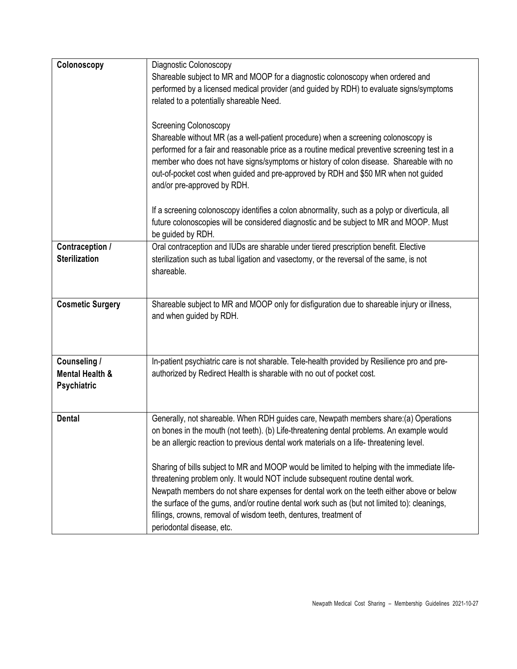| Colonoscopy                | Diagnostic Colonoscopy                                                                         |
|----------------------------|------------------------------------------------------------------------------------------------|
|                            | Shareable subject to MR and MOOP for a diagnostic colonoscopy when ordered and                 |
|                            | performed by a licensed medical provider (and guided by RDH) to evaluate signs/symptoms        |
|                            | related to a potentially shareable Need.                                                       |
|                            |                                                                                                |
|                            | <b>Screening Colonoscopy</b>                                                                   |
|                            | Shareable without MR (as a well-patient procedure) when a screening colonoscopy is             |
|                            | performed for a fair and reasonable price as a routine medical preventive screening test in a  |
|                            | member who does not have signs/symptoms or history of colon disease. Shareable with no         |
|                            | out-of-pocket cost when guided and pre-approved by RDH and \$50 MR when not guided             |
|                            | and/or pre-approved by RDH.                                                                    |
|                            |                                                                                                |
|                            | If a screening colonoscopy identifies a colon abnormality, such as a polyp or diverticula, all |
|                            | future colonoscopies will be considered diagnostic and be subject to MR and MOOP. Must         |
|                            | be guided by RDH.                                                                              |
| Contraception /            | Oral contraception and IUDs are sharable under tiered prescription benefit. Elective           |
| <b>Sterilization</b>       | sterilization such as tubal ligation and vasectomy, or the reversal of the same, is not        |
|                            | shareable.                                                                                     |
|                            |                                                                                                |
|                            |                                                                                                |
| <b>Cosmetic Surgery</b>    | Shareable subject to MR and MOOP only for disfiguration due to shareable injury or illness,    |
|                            | and when guided by RDH.                                                                        |
|                            |                                                                                                |
|                            |                                                                                                |
| Counseling /               | In-patient psychiatric care is not sharable. Tele-health provided by Resilience pro and pre-   |
| <b>Mental Health &amp;</b> | authorized by Redirect Health is sharable with no out of pocket cost.                          |
| <b>Psychiatric</b>         |                                                                                                |
|                            |                                                                                                |
|                            |                                                                                                |
| <b>Dental</b>              | Generally, not shareable. When RDH guides care, Newpath members share:(a) Operations           |
|                            | on bones in the mouth (not teeth). (b) Life-threatening dental problems. An example would      |
|                            | be an allergic reaction to previous dental work materials on a life-threatening level.         |
|                            |                                                                                                |
|                            | Sharing of bills subject to MR and MOOP would be limited to helping with the immediate life-   |
|                            | threatening problem only. It would NOT include subsequent routine dental work.                 |
|                            | Newpath members do not share expenses for dental work on the teeth either above or below       |
|                            | the surface of the gums, and/or routine dental work such as (but not limited to): cleanings,   |
|                            | fillings, crowns, removal of wisdom teeth, dentures, treatment of                              |
|                            | periodontal disease, etc.                                                                      |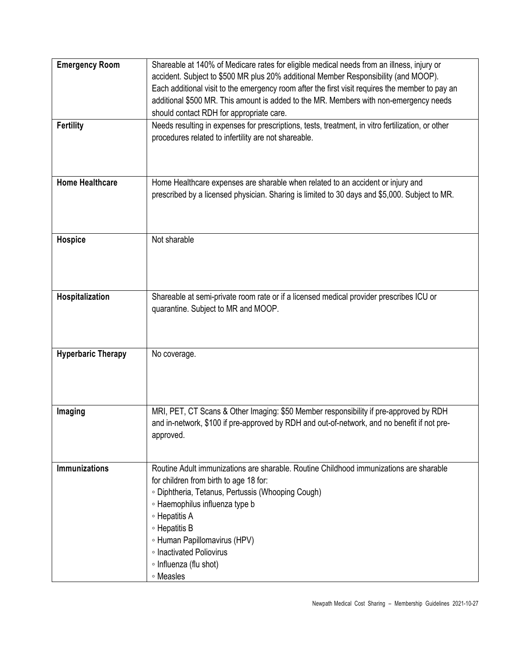| <b>Emergency Room</b><br><b>Fertility</b> | Shareable at 140% of Medicare rates for eligible medical needs from an illness, injury or<br>accident. Subject to \$500 MR plus 20% additional Member Responsibility (and MOOP).<br>Each additional visit to the emergency room after the first visit requires the member to pay an<br>additional \$500 MR. This amount is added to the MR. Members with non-emergency needs<br>should contact RDH for appropriate care.<br>Needs resulting in expenses for prescriptions, tests, treatment, in vitro fertilization, or other<br>procedures related to infertility are not shareable. |
|-------------------------------------------|---------------------------------------------------------------------------------------------------------------------------------------------------------------------------------------------------------------------------------------------------------------------------------------------------------------------------------------------------------------------------------------------------------------------------------------------------------------------------------------------------------------------------------------------------------------------------------------|
| <b>Home Healthcare</b>                    | Home Healthcare expenses are sharable when related to an accident or injury and<br>prescribed by a licensed physician. Sharing is limited to 30 days and \$5,000. Subject to MR.                                                                                                                                                                                                                                                                                                                                                                                                      |
| <b>Hospice</b>                            | Not sharable                                                                                                                                                                                                                                                                                                                                                                                                                                                                                                                                                                          |
| Hospitalization                           | Shareable at semi-private room rate or if a licensed medical provider prescribes ICU or<br>quarantine. Subject to MR and MOOP.                                                                                                                                                                                                                                                                                                                                                                                                                                                        |
| <b>Hyperbaric Therapy</b>                 | No coverage.                                                                                                                                                                                                                                                                                                                                                                                                                                                                                                                                                                          |
| Imaging                                   | MRI, PET, CT Scans & Other Imaging: \$50 Member responsibility if pre-approved by RDH<br>and in-network, \$100 if pre-approved by RDH and out-of-network, and no benefit if not pre-<br>approved.                                                                                                                                                                                                                                                                                                                                                                                     |
| <b>Immunizations</b>                      | Routine Adult immunizations are sharable. Routine Childhood immunizations are sharable<br>for children from birth to age 18 for:<br>· Diphtheria, Tetanus, Pertussis (Whooping Cough)<br>• Haemophilus influenza type b<br>∘ Hepatitis A<br>∘ Hepatitis B<br>• Human Papillomavirus (HPV)<br>∘ Inactivated Poliovirus<br>• Influenza (flu shot)<br>∘ Measles                                                                                                                                                                                                                          |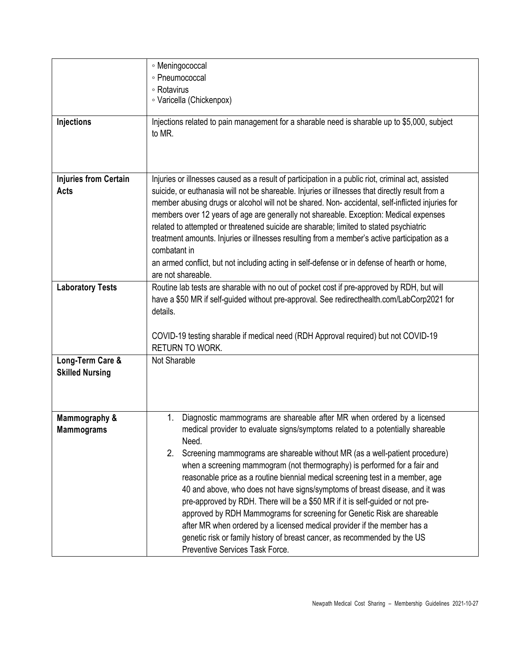| <b>Injections</b>                           | ∘ Meningococcal<br>· Pneumococcal<br>∘ Rotavirus<br>· Varicella (Chickenpox)<br>Injections related to pain management for a sharable need is sharable up to \$5,000, subject<br>to MR.                                                                                                                                                                                                                                                                                                                                                                                                                                                                                                                                                                                                                                                                               |
|---------------------------------------------|----------------------------------------------------------------------------------------------------------------------------------------------------------------------------------------------------------------------------------------------------------------------------------------------------------------------------------------------------------------------------------------------------------------------------------------------------------------------------------------------------------------------------------------------------------------------------------------------------------------------------------------------------------------------------------------------------------------------------------------------------------------------------------------------------------------------------------------------------------------------|
| <b>Injuries from Certain</b><br>Acts        | Injuries or illnesses caused as a result of participation in a public riot, criminal act, assisted<br>suicide, or euthanasia will not be shareable. Injuries or illnesses that directly result from a<br>member abusing drugs or alcohol will not be shared. Non- accidental, self-inflicted injuries for<br>members over 12 years of age are generally not shareable. Exception: Medical expenses<br>related to attempted or threatened suicide are sharable; limited to stated psychiatric<br>treatment amounts. Injuries or illnesses resulting from a member's active participation as a<br>combatant in<br>an armed conflict, but not including acting in self-defense or in defense of hearth or home,<br>are not shareable.                                                                                                                                   |
| <b>Laboratory Tests</b><br>Long-Term Care & | Routine lab tests are sharable with no out of pocket cost if pre-approved by RDH, but will<br>have a \$50 MR if self-guided without pre-approval. See redirecthealth.com/LabCorp2021 for<br>details.<br>COVID-19 testing sharable if medical need (RDH Approval required) but not COVID-19<br><b>RETURN TO WORK.</b><br>Not Sharable                                                                                                                                                                                                                                                                                                                                                                                                                                                                                                                                 |
| <b>Skilled Nursing</b>                      |                                                                                                                                                                                                                                                                                                                                                                                                                                                                                                                                                                                                                                                                                                                                                                                                                                                                      |
| Mammography &<br><b>Mammograms</b>          | Diagnostic mammograms are shareable after MR when ordered by a licensed<br>1.<br>medical provider to evaluate signs/symptoms related to a potentially shareable<br>Need.<br>Screening mammograms are shareable without MR (as a well-patient procedure)<br>2.<br>when a screening mammogram (not thermography) is performed for a fair and<br>reasonable price as a routine biennial medical screening test in a member, age<br>40 and above, who does not have signs/symptoms of breast disease, and it was<br>pre-approved by RDH. There will be a \$50 MR if it is self-guided or not pre-<br>approved by RDH Mammograms for screening for Genetic Risk are shareable<br>after MR when ordered by a licensed medical provider if the member has a<br>genetic risk or family history of breast cancer, as recommended by the US<br>Preventive Services Task Force. |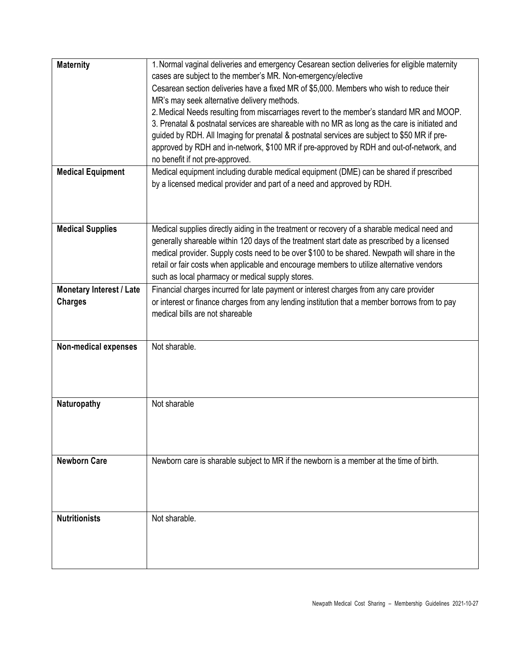| <b>Maternity</b>            | 1. Normal vaginal deliveries and emergency Cesarean section deliveries for eligible maternity  |
|-----------------------------|------------------------------------------------------------------------------------------------|
|                             | cases are subject to the member's MR. Non-emergency/elective                                   |
|                             | Cesarean section deliveries have a fixed MR of \$5,000. Members who wish to reduce their       |
|                             | MR's may seek alternative delivery methods.                                                    |
|                             | 2. Medical Needs resulting from miscarriages revert to the member's standard MR and MOOP.      |
|                             | 3. Prenatal & postnatal services are shareable with no MR as long as the care is initiated and |
|                             | guided by RDH. All Imaging for prenatal & postnatal services are subject to \$50 MR if pre-    |
|                             | approved by RDH and in-network, \$100 MR if pre-approved by RDH and out-of-network, and        |
|                             | no benefit if not pre-approved.                                                                |
| <b>Medical Equipment</b>    | Medical equipment including durable medical equipment (DME) can be shared if prescribed        |
|                             | by a licensed medical provider and part of a need and approved by RDH.                         |
|                             |                                                                                                |
|                             |                                                                                                |
|                             |                                                                                                |
| <b>Medical Supplies</b>     | Medical supplies directly aiding in the treatment or recovery of a sharable medical need and   |
|                             | generally shareable within 120 days of the treatment start date as prescribed by a licensed    |
|                             | medical provider. Supply costs need to be over \$100 to be shared. Newpath will share in the   |
|                             | retail or fair costs when applicable and encourage members to utilize alternative vendors      |
|                             | such as local pharmacy or medical supply stores.                                               |
| Monetary Interest / Late    | Financial charges incurred for late payment or interest charges from any care provider         |
| <b>Charges</b>              | or interest or finance charges from any lending institution that a member borrows from to pay  |
|                             | medical bills are not shareable                                                                |
|                             |                                                                                                |
|                             |                                                                                                |
| <b>Non-medical expenses</b> | Not sharable.                                                                                  |
|                             |                                                                                                |
|                             |                                                                                                |
|                             |                                                                                                |
| Naturopathy                 | Not sharable                                                                                   |
|                             |                                                                                                |
|                             |                                                                                                |
|                             |                                                                                                |
|                             |                                                                                                |
| <b>Newborn Care</b>         | Newborn care is sharable subject to MR if the newborn is a member at the time of birth.        |
|                             |                                                                                                |
|                             |                                                                                                |
|                             |                                                                                                |
|                             |                                                                                                |
| <b>Nutritionists</b>        | Not sharable.                                                                                  |
|                             |                                                                                                |
|                             |                                                                                                |
|                             |                                                                                                |
|                             |                                                                                                |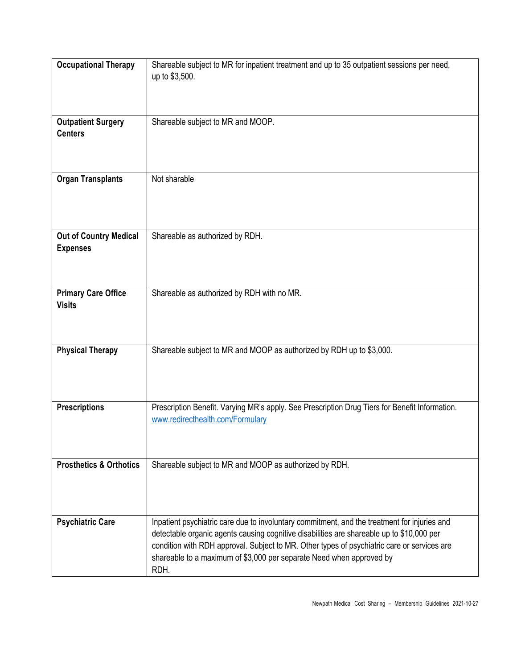| <b>Occupational Therapy</b>                      | Shareable subject to MR for inpatient treatment and up to 35 outpatient sessions per need,<br>up to \$3,500.                                                                                                                                                                                                                                                             |
|--------------------------------------------------|--------------------------------------------------------------------------------------------------------------------------------------------------------------------------------------------------------------------------------------------------------------------------------------------------------------------------------------------------------------------------|
| <b>Outpatient Surgery</b><br><b>Centers</b>      | Shareable subject to MR and MOOP.                                                                                                                                                                                                                                                                                                                                        |
| <b>Organ Transplants</b>                         | Not sharable                                                                                                                                                                                                                                                                                                                                                             |
| <b>Out of Country Medical</b><br><b>Expenses</b> | Shareable as authorized by RDH.                                                                                                                                                                                                                                                                                                                                          |
| <b>Primary Care Office</b><br><b>Visits</b>      | Shareable as authorized by RDH with no MR.                                                                                                                                                                                                                                                                                                                               |
| <b>Physical Therapy</b>                          | Shareable subject to MR and MOOP as authorized by RDH up to \$3,000.                                                                                                                                                                                                                                                                                                     |
| <b>Prescriptions</b>                             | Prescription Benefit. Varying MR's apply. See Prescription Drug Tiers for Benefit Information.<br>www.redirecthealth.com/Formulary                                                                                                                                                                                                                                       |
| <b>Prosthetics &amp; Orthotics</b>               | Shareable subject to MR and MOOP as authorized by RDH.                                                                                                                                                                                                                                                                                                                   |
| <b>Psychiatric Care</b>                          | Inpatient psychiatric care due to involuntary commitment, and the treatment for injuries and<br>detectable organic agents causing cognitive disabilities are shareable up to \$10,000 per<br>condition with RDH approval. Subject to MR. Other types of psychiatric care or services are<br>shareable to a maximum of \$3,000 per separate Need when approved by<br>RDH. |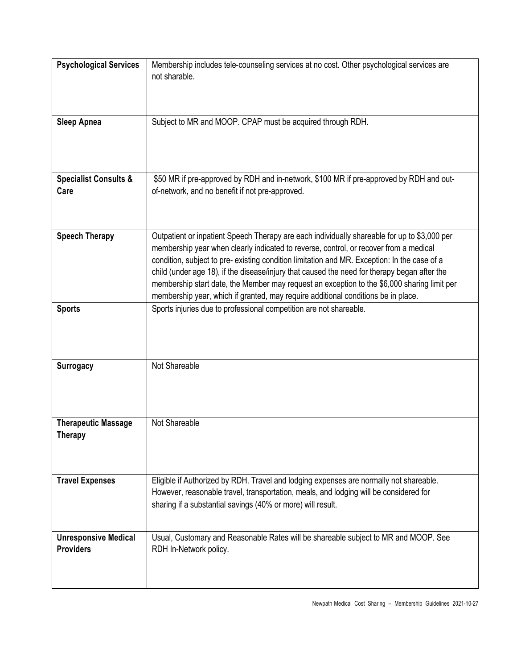| <b>Psychological Services</b>                   | Membership includes tele-counseling services at no cost. Other psychological services are<br>not sharable.                                                                                                                                                                                                                                                                                                                                                                                                                                                                |
|-------------------------------------------------|---------------------------------------------------------------------------------------------------------------------------------------------------------------------------------------------------------------------------------------------------------------------------------------------------------------------------------------------------------------------------------------------------------------------------------------------------------------------------------------------------------------------------------------------------------------------------|
| <b>Sleep Apnea</b>                              | Subject to MR and MOOP. CPAP must be acquired through RDH.                                                                                                                                                                                                                                                                                                                                                                                                                                                                                                                |
| <b>Specialist Consults &amp;</b><br>Care        | \$50 MR if pre-approved by RDH and in-network, \$100 MR if pre-approved by RDH and out-<br>of-network, and no benefit if not pre-approved.                                                                                                                                                                                                                                                                                                                                                                                                                                |
| <b>Speech Therapy</b>                           | Outpatient or inpatient Speech Therapy are each individually shareable for up to \$3,000 per<br>membership year when clearly indicated to reverse, control, or recover from a medical<br>condition, subject to pre- existing condition limitation and MR. Exception: In the case of a<br>child (under age 18), if the disease/injury that caused the need for therapy began after the<br>membership start date, the Member may request an exception to the \$6,000 sharing limit per<br>membership year, which if granted, may require additional conditions be in place. |
| <b>Sports</b>                                   | Sports injuries due to professional competition are not shareable.                                                                                                                                                                                                                                                                                                                                                                                                                                                                                                        |
| <b>Surrogacy</b>                                | Not Shareable                                                                                                                                                                                                                                                                                                                                                                                                                                                                                                                                                             |
| <b>Therapeutic Massage</b><br><b>Therapy</b>    | Not Shareable                                                                                                                                                                                                                                                                                                                                                                                                                                                                                                                                                             |
| <b>Travel Expenses</b>                          | Eligible if Authorized by RDH. Travel and lodging expenses are normally not shareable.<br>However, reasonable travel, transportation, meals, and lodging will be considered for<br>sharing if a substantial savings (40% or more) will result.                                                                                                                                                                                                                                                                                                                            |
| <b>Unresponsive Medical</b><br><b>Providers</b> | Usual, Customary and Reasonable Rates will be shareable subject to MR and MOOP. See<br>RDH In-Network policy.                                                                                                                                                                                                                                                                                                                                                                                                                                                             |